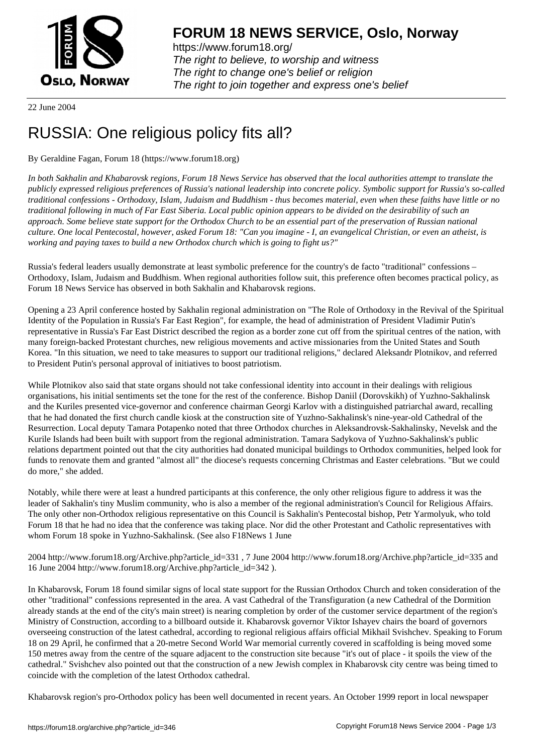

https://www.forum18.org/ The right to believe, to worship and witness The right to change one's belief or religion [The right to join together a](https://www.forum18.org/)nd express one's belief

22 June 2004

## [RUSSIA: One r](https://www.forum18.org)eligious policy fits all?

## By Geraldine Fagan, Forum 18 (https://www.forum18.org)

*In both Sakhalin and Khabarovsk regions, Forum 18 News Service has observed that the local authorities attempt to translate the publicly expressed religious preferences of Russia's national leadership into concrete policy. Symbolic support for Russia's so-called traditional confessions - Orthodoxy, Islam, Judaism and Buddhism - thus becomes material, even when these faiths have little or no traditional following in much of Far East Siberia. Local public opinion appears to be divided on the desirability of such an approach. Some believe state support for the Orthodox Church to be an essential part of the preservation of Russian national culture. One local Pentecostal, however, asked Forum 18: "Can you imagine - I, an evangelical Christian, or even an atheist, is working and paying taxes to build a new Orthodox church which is going to fight us?"*

Russia's federal leaders usually demonstrate at least symbolic preference for the country's de facto "traditional" confessions – Orthodoxy, Islam, Judaism and Buddhism. When regional authorities follow suit, this preference often becomes practical policy, as Forum 18 News Service has observed in both Sakhalin and Khabarovsk regions.

Opening a 23 April conference hosted by Sakhalin regional administration on "The Role of Orthodoxy in the Revival of the Spiritual Identity of the Population in Russia's Far East Region", for example, the head of administration of President Vladimir Putin's representative in Russia's Far East District described the region as a border zone cut off from the spiritual centres of the nation, with many foreign-backed Protestant churches, new religious movements and active missionaries from the United States and South Korea. "In this situation, we need to take measures to support our traditional religions," declared Aleksandr Plotnikov, and referred to President Putin's personal approval of initiatives to boost patriotism.

While Plotnikov also said that state organs should not take confessional identity into account in their dealings with religious organisations, his initial sentiments set the tone for the rest of the conference. Bishop Daniil (Dorovskikh) of Yuzhno-Sakhalinsk and the Kuriles presented vice-governor and conference chairman Georgi Karlov with a distinguished patriarchal award, recalling that he had donated the first church candle kiosk at the construction site of Yuzhno-Sakhalinsk's nine-year-old Cathedral of the Resurrection. Local deputy Tamara Potapenko noted that three Orthodox churches in Aleksandrovsk-Sakhalinsky, Nevelsk and the Kurile Islands had been built with support from the regional administration. Tamara Sadykova of Yuzhno-Sakhalinsk's public relations department pointed out that the city authorities had donated municipal buildings to Orthodox communities, helped look for funds to renovate them and granted "almost all" the diocese's requests concerning Christmas and Easter celebrations. "But we could do more," she added.

Notably, while there were at least a hundred participants at this conference, the only other religious figure to address it was the leader of Sakhalin's tiny Muslim community, who is also a member of the regional administration's Council for Religious Affairs. The only other non-Orthodox religious representative on this Council is Sakhalin's Pentecostal bishop, Petr Yarmolyuk, who told Forum 18 that he had no idea that the conference was taking place. Nor did the other Protestant and Catholic representatives with whom Forum 18 spoke in Yuzhno-Sakhalinsk. (See also F18News 1 June

2004 http://www.forum18.org/Archive.php?article\_id=331 , 7 June 2004 http://www.forum18.org/Archive.php?article\_id=335 and 16 June 2004 http://www.forum18.org/Archive.php?article\_id=342 ).

In Khabarovsk, Forum 18 found similar signs of local state support for the Russian Orthodox Church and token consideration of the other "traditional" confessions represented in the area. A vast Cathedral of the Transfiguration (a new Cathedral of the Dormition already stands at the end of the city's main street) is nearing completion by order of the customer service department of the region's Ministry of Construction, according to a billboard outside it. Khabarovsk governor Viktor Ishayev chairs the board of governors overseeing construction of the latest cathedral, according to regional religious affairs official Mikhail Svishchev. Speaking to Forum 18 on 29 April, he confirmed that a 20-metre Second World War memorial currently covered in scaffolding is being moved some 150 metres away from the centre of the square adjacent to the construction site because "it's out of place - it spoils the view of the cathedral." Svishchev also pointed out that the construction of a new Jewish complex in Khabarovsk city centre was being timed to coincide with the completion of the latest Orthodox cathedral.

Khabarovsk region's pro-Orthodox policy has been well documented in recent years. An October 1999 report in local newspaper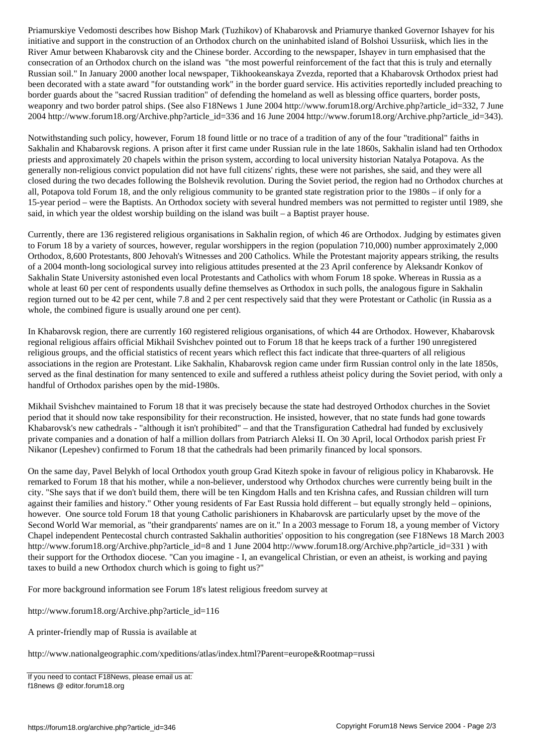initiative and support in the construction of an Orthodox church on the uninhabited island of Bolshoi Ussuriisk, which lies in the River Amur between Khabarovsk city and the Chinese border. According to the newspaper, Ishayev in turn emphasised that the consecration of an Orthodox church on the island was "the most powerful reinforcement of the fact that this is truly and eternally Russian soil." In January 2000 another local newspaper, Tikhookeanskaya Zvezda, reported that a Khabarovsk Orthodox priest had been decorated with a state award "for outstanding work" in the border guard service. His activities reportedly included preaching to border guards about the "sacred Russian tradition" of defending the homeland as well as blessing office quarters, border posts, weaponry and two border patrol ships. (See also F18News 1 June 2004 http://www.forum18.org/Archive.php?article\_id=332, 7 June 2004 http://www.forum18.org/Archive.php?article\_id=336 and 16 June 2004 http://www.forum18.org/Archive.php?article\_id=343).

Notwithstanding such policy, however, Forum 18 found little or no trace of a tradition of any of the four "traditional" faiths in Sakhalin and Khabarovsk regions. A prison after it first came under Russian rule in the late 1860s, Sakhalin island had ten Orthodox priests and approximately 20 chapels within the prison system, according to local university historian Natalya Potapova. As the generally non-religious convict population did not have full citizens' rights, these were not parishes, she said, and they were all closed during the two decades following the Bolshevik revolution. During the Soviet period, the region had no Orthodox churches at all, Potapova told Forum 18, and the only religious community to be granted state registration prior to the 1980s – if only for a 15-year period – were the Baptists. An Orthodox society with several hundred members was not permitted to register until 1989, she said, in which year the oldest worship building on the island was built – a Baptist prayer house.

Currently, there are 136 registered religious organisations in Sakhalin region, of which 46 are Orthodox. Judging by estimates given to Forum 18 by a variety of sources, however, regular worshippers in the region (population 710,000) number approximately 2,000 Orthodox, 8,600 Protestants, 800 Jehovah's Witnesses and 200 Catholics. While the Protestant majority appears striking, the results of a 2004 month-long sociological survey into religious attitudes presented at the 23 April conference by Aleksandr Konkov of Sakhalin State University astonished even local Protestants and Catholics with whom Forum 18 spoke. Whereas in Russia as a whole at least 60 per cent of respondents usually define themselves as Orthodox in such polls, the analogous figure in Sakhalin region turned out to be 42 per cent, while 7.8 and 2 per cent respectively said that they were Protestant or Catholic (in Russia as a whole, the combined figure is usually around one per cent).

In Khabarovsk region, there are currently 160 registered religious organisations, of which 44 are Orthodox. However, Khabarovsk regional religious affairs official Mikhail Svishchev pointed out to Forum 18 that he keeps track of a further 190 unregistered religious groups, and the official statistics of recent years which reflect this fact indicate that three-quarters of all religious associations in the region are Protestant. Like Sakhalin, Khabarovsk region came under firm Russian control only in the late 1850s, served as the final destination for many sentenced to exile and suffered a ruthless atheist policy during the Soviet period, with only a handful of Orthodox parishes open by the mid-1980s.

Mikhail Svishchev maintained to Forum 18 that it was precisely because the state had destroyed Orthodox churches in the Soviet period that it should now take responsibility for their reconstruction. He insisted, however, that no state funds had gone towards Khabarovsk's new cathedrals - "although it isn't prohibited" – and that the Transfiguration Cathedral had funded by exclusively private companies and a donation of half a million dollars from Patriarch Aleksi II. On 30 April, local Orthodox parish priest Fr Nikanor (Lepeshev) confirmed to Forum 18 that the cathedrals had been primarily financed by local sponsors.

On the same day, Pavel Belykh of local Orthodox youth group Grad Kitezh spoke in favour of religious policy in Khabarovsk. He remarked to Forum 18 that his mother, while a non-believer, understood why Orthodox churches were currently being built in the city. "She says that if we don't build them, there will be ten Kingdom Halls and ten Krishna cafes, and Russian children will turn against their families and history." Other young residents of Far East Russia hold different – but equally strongly held – opinions, however. One source told Forum 18 that young Catholic parishioners in Khabarovsk are particularly upset by the move of the Second World War memorial, as "their grandparents' names are on it." In a 2003 message to Forum 18, a young member of Victory Chapel independent Pentecostal church contrasted Sakhalin authorities' opposition to his congregation (see F18News 18 March 2003 http://www.forum18.org/Archive.php?article\_id=8 and 1 June 2004 http://www.forum18.org/Archive.php?article\_id=331 ) with their support for the Orthodox diocese. "Can you imagine - I, an evangelical Christian, or even an atheist, is working and paying taxes to build a new Orthodox church which is going to fight us?"

For more background information see Forum 18's latest religious freedom survey at

http://www.forum18.org/Archive.php?article\_id=116

A printer-friendly map of Russia is available at

http://www.nationalgeographic.com/xpeditions/atlas/index.html?Parent=europe&Rootmap=russi

If you need to contact F18News, please email us at: f18news @ editor.forum18.org